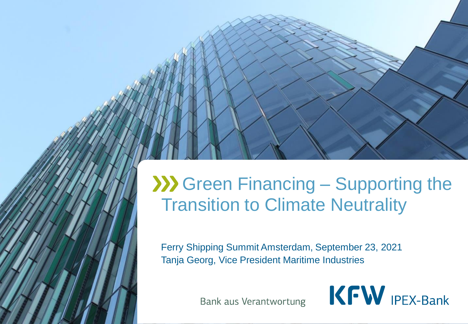## **XXX** Green Financing – Supporting the Transition to Climate Neutrality

Ferry Shipping Summit Amsterdam, September 23, 2021 Tanja Georg, Vice President Maritime Industries

**Bank aus Verantwortung** 

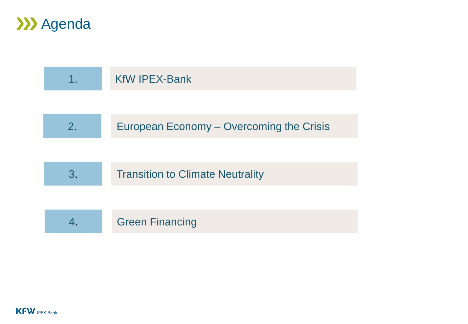

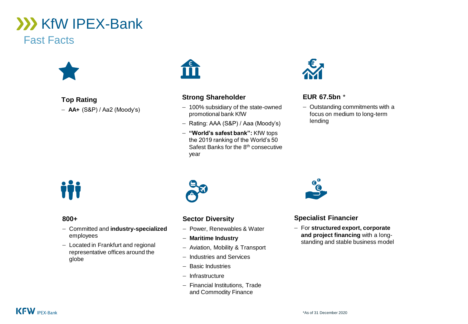### **XX KfW IPEX-Bank** Fast Facts



#### **Top Rating**

− **AA+** (S&P) / Aa2 (Moody's)



#### **Strong Shareholder**

- − 100% subsidiary of the state-owned promotional bank KfW
- − Rating: AAA (S&P) / Aaa (Moody's)
- − **"World's safest bank":** KfW tops the 2019 ranking of the World's 50 Safest Banks for the 8th consecutive year



#### **EUR 67.5bn** \*

− Outstanding commitments with a focus on medium to long-term lending

#### **800+**

- − Committed and **industry-specialized** employees
- − Located in Frankfurt and regional representative offices around the globe



#### **Sector Diversity**

- − Power, Renewables & Water
- − **Maritime Industry**
- − Aviation, Mobility & Transport
- − Industries and Services
- − Basic Industries
- − Infrastructure
- − Financial Institutions, Trade and Commodity Finance



#### **Specialist Financier**

− For **structured export, corporate and project financing** with a longstanding and stable business model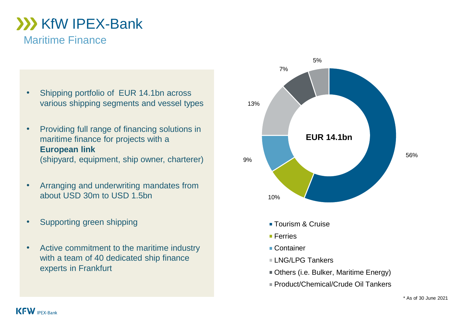## **XXX KfW IPEX-Bank** Maritime Finance

- Shipping portfolio of EUR 14.1bn across various shipping segments and vessel types
- Providing full range of financing solutions in maritime finance for projects with a **European link**  (shipyard, equipment, ship owner, charterer)
- Arranging and underwriting mandates from about USD 30m to USD 1.5bn
- Supporting green shipping
- Active commitment to the maritime industry with a team of 40 dedicated ship finance experts in Frankfurt



- Others (i.e. Bulker, Maritime Energy)
- Product/Chemical/Crude Oil Tankers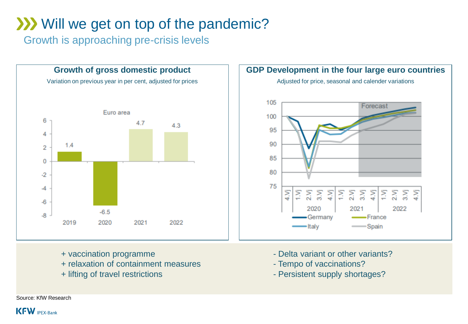## **Will we get on top of the pandemic?**

Growth is approaching pre-crisis levels





- + vaccination programme
- + relaxation of containment measures
- + lifting of travel restrictions
- Delta variant or other variants?
- Tempo of vaccinations?
- Persistent supply shortages?

Source: KfW Research

 $KFW$  IPEX-Bank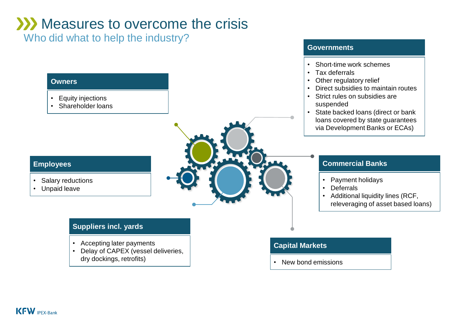## **W** Measures to overcome the crisis

Who did what to help the industry?

#### **Owners**

- Equity injections
- Shareholder loans

#### **Employees**

- Salary reductions
- Unpaid leave

#### **Suppliers incl. yards**

- Accepting later payments
- Delay of CAPEX (vessel deliveries, dry dockings, retrofits)

#### **Governments**

- Short-time work schemes
- Tax deferrals
- Other regulatory relief
- Direct subsidies to maintain routes
- Strict rules on subsidies are suspended
- State backed loans (direct or bank loans covered by state guarantees via Development Banks or ECAs)

#### **Commercial Banks**

- Payment holidays
- **Deferrals**
- Additional liquidity lines (RCF, releveraging of asset based loans)

#### **Capital Markets**

• New bond emissions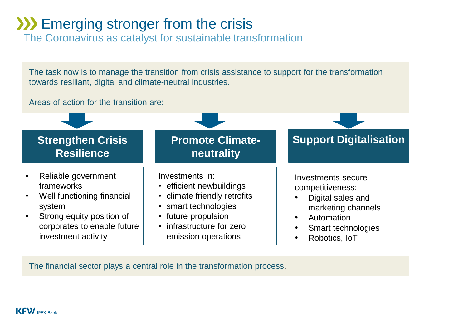## **W** Emerging stronger from the crisis

The Coronavirus as catalyst for sustainable transformation

The task now is to manage the transition from crisis assistance to support for the transformation towards resiliant, digital and climate-neutral industries.

Areas of action for the transition are:



The financial sector plays a central role in the transformation process.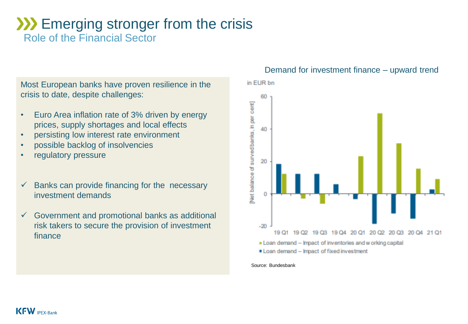## **W** Emerging stronger from the crisis

Role of the Financial Sector

Most European banks have proven resilience in the crisis to date, despite challenges:

- Euro Area inflation rate of 3% driven by energy prices, supply shortages and local effects
- persisting low interest rate environment
- possible backlog of insolvencies
- regulatory pressure
- $\checkmark$  Banks can provide financing for the necessary investment demands
- $\checkmark$  Government and promotional banks as additional risk takers to secure the provision of investment finance

## 60 Net balance of surved banks, in per cent) 40 20  $-20$ 19 Q1 19 Q2 19 Q3 19 Q4 20 Q1 20 Q2 20 Q3 20 Q4 21 Q1 Loan demand - Impact of inventories and w orking capital Loan demand - Impact of fixed investment

Source: Bundesbank

in EUR bn

#### Demand for investment finance – upward trend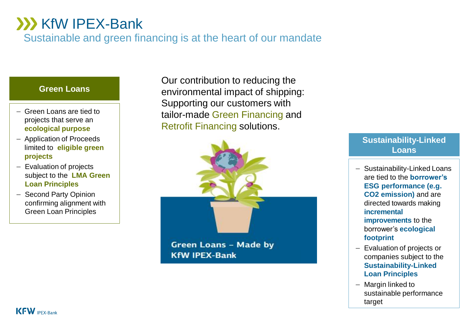## **XXX KfW IPEX-Bank**

Sustainable and green financing is at the heart of our mandate

#### **Green Loans**

- − Green Loans are tied to projects that serve an **ecological purpose**
- − Application of Proceeds limited to **eligible green projects**
- − Evaluation of projects subject to the **LMA Green Loan Principles**
- − Second Party Opinion confirming alignment with Green Loan Principles

Our contribution to reducing the environmental impact of shipping: Supporting our customers with tailor-made Green Financing and Retrofit Financing solutions.



**Green Loans - Made by KfW IPEX-Bank** 

### **Sustainability-Linked Loans**

- − Sustainability-Linked Loans are tied to the **borrower's ESG performance (e.g. CO2 emission)** and are directed towards making **incremental improvements** to the borrower's **ecological footprint**
- − Evaluation of projects or companies subject to the **Sustainability-Linked Loan Principles**
- − Margin linked to sustainable performance target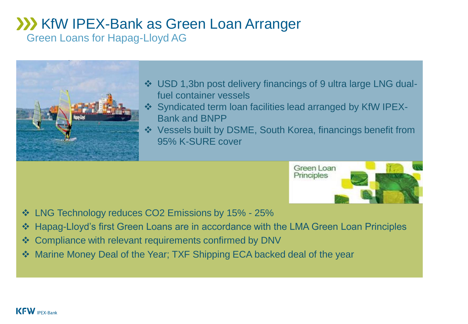## **XXX KfW IPEX-Bank as Green Loan Arranger**

Green Loans for Hapag-Lloyd AG



- ❖ USD 1,3bn post delivery financings of 9 ultra large LNG dualfuel container vessels
- ❖ Syndicated term loan facilities lead arranged by KfW IPEX-Bank and BNPP
- ❖ Vessels built by DSME, South Korea, financings benefit from 95% K-SURE cover



- ❖ LNG Technology reduces CO2 Emissions by 15% 25%
- ❖ Hapag-Lloyd's first Green Loans are in accordance with the LMA Green Loan Principles
- ❖ Compliance with relevant requirements confirmed by DNV
- Marine Money Deal of the Year; TXF Shipping ECA backed deal of the year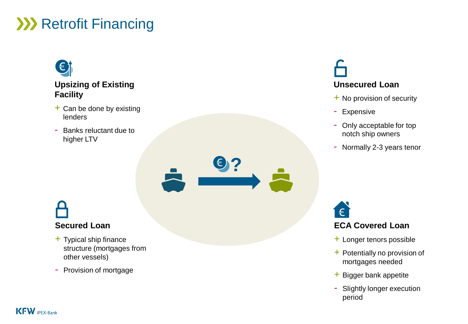## **XX** Retrofit Financing



- Banks reluctant due to higher LTV



- $+$  Typical ship finance structure (mortgages from other vessels)
- Provision of mortgage

# **Unsecured Loan**

- $+$  No provision of security
- Expensive

**?**

- Only acceptable for top notch ship owners
- Normally 2-3 years tenor



- + Longer tenors possible
- $+$  Potentially no provision of mortgages needed
- $+$  Bigger bank appetite
- Slightly longer execution period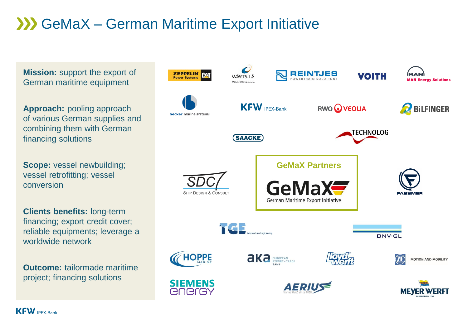## GeMaX – German Maritime Export Initiative

**Mission:** support the export of German maritime equipment

**Approach:** pooling approach of various German supplies and combining them with German financing solutions

**Scope:** vessel newbuilding; vessel retrofitting; vessel conversion

**Clients benefits:** long-term financing; export credit cover; reliable equipments; leverage a worldwide network

**Outcome:** tailormade maritime project; financing solutions

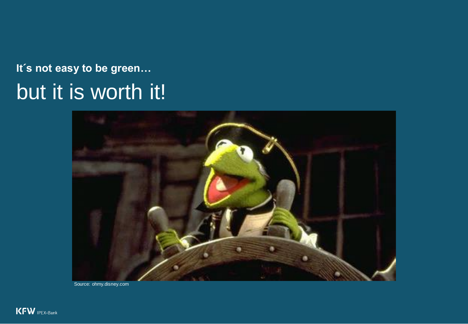## **It´s not easy to be green…** but it is worth it!



Source: ohmy.disney.com